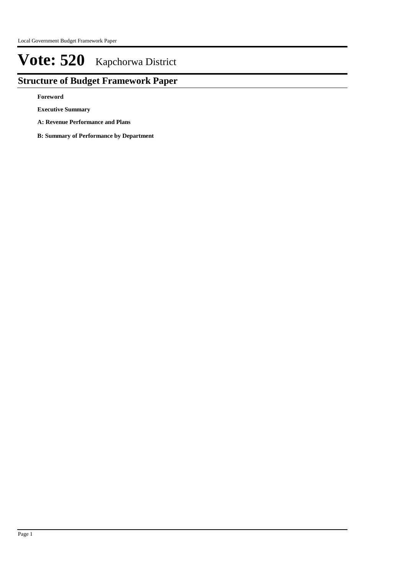# **Structure of Budget Framework Paper**

**Foreword**

**Executive Summary**

**A: Revenue Performance and Plans**

**B: Summary of Performance by Department**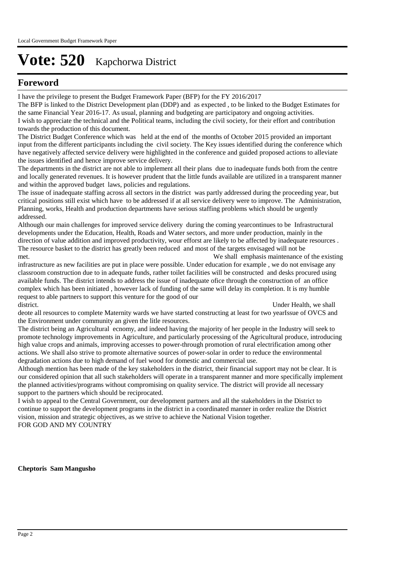# **Foreword**

I have the privilege to present the Budget Framework Paper (BFP) for the FY 2016/2017

The BFP is linked to the District Development plan (DDP) and as expected , to be linked to the Budget Estimates for the same Financial Year 2016-17. As usual, planning and budgeting are participatory and ongoing activities. I wish to appreciate the technical and the Political teams, including the civil society, for their effort and contribution towards the production of this document.

The District Budget Conference which was held at the end of the months of October 2015 provided an important input from the different participants including the civil society. The Key issues identified during the conference which have negatively affected service delivery were highlighted in the conference and guided proposed actions to alleviate the issues identified and hence improve service delivery.

The departments in the district are not able to implement all their plans due to inadequate funds both from the centre and locally generated revenues. It is however prudent that the little funds available are utilized in a transparent manner and within the approved budget laws, policies and regulations.

The issue of inadequate staffing across all sectors in the district was partly addressed during the proceeding year, but critical positions still exist which have to be addressed if at all service delivery were to improve. The Administration, Planning, works, Health and production departments have serious staffing problems which should be urgently addressed.

Although our main challenges for improved service delivery during the coming yearcontinues to be Infrastructural developments under the Education, Health, Roads and Water sectors, and more under production, mainly in the direction of value addition and improved productivity, wour efforst are likely to be affected by inadequate resources . The resource basket to the district has greatly been reduced and most of the targets envisaged will not be met. We shall emphasis maintenance of the existing

infrastructure as new facilities are put in place were possible. Under education for example , we do not envisage any classroom construction due to in adequate funds, rather toilet facilities will be constructed and desks procured using available funds. The district intends to address the issue of inadequate ofice through the construction of an office complex which has been initiated , however lack of funding of the same will delay its completion. It is my humble request to able partners to support this venture for the good of our district. Under Health, we shall

deote all resources to complete Maternity wards we have started constructing at least for two yearIssue of OVCS and the Environment under community an given the litle resources.

The district being an Agricultural ecnomy, and indeed having the majority of her people in the Industry will seek to promote technology improvements in Agriculture, and particularly processing of the Agricultural produce, introducing high value crops and animals, improving accesses to power-through promotion of rural electrification among other actions. We shall also strive to promote alternative sources of power-solar in order to reduce the environmental degradation actions due to high demand of fuel wood for domestic and commercial use.

Although mention has been made of the key stakeholders in the district, their financial support may not be clear. It is our considered opinion that all such stakeholders will operate in a transparent manner and more specifically implement the planned activities/programs without compromising on quality service. The district will provide all necessary support to the partners which should be reciprocated.

I wish to appeal to the Central Government, our development partners and all the stakeholders in the District to continue to support the development programs in the district in a coordinated manner in order realize the District vision, mission and strategic objectives, as we strive to achieve the National Vision together. FOR GOD AND MY COUNTRY

**Cheptoris Sam Mangusho**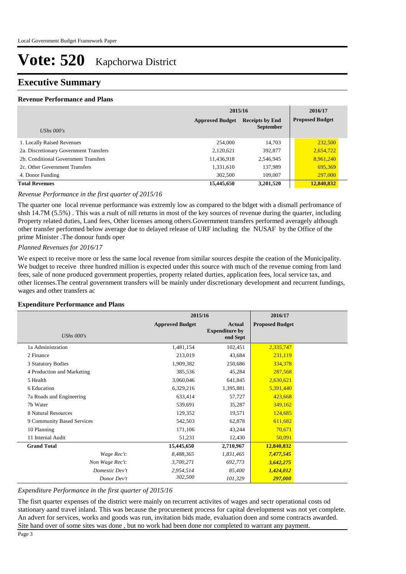# **Executive Summary**

### **Revenue Performance and Plans**

|                                        | 2015/16                | 2016/17                |            |
|----------------------------------------|------------------------|------------------------|------------|
|                                        | <b>Approved Budget</b> | <b>Proposed Budget</b> |            |
| UShs $000's$                           |                        | <b>September</b>       |            |
| 1. Locally Raised Revenues             | 254,000                | 14.703                 | 232,500    |
| 2a. Discretionary Government Transfers | 2,120,621              | 392,877                | 2,654,722  |
| 2b. Conditional Government Transfers   | 11,436,918             | 2,546,945              | 8,961,240  |
| 2c. Other Government Transfers         | 1,331,610              | 137,989                | 695,369    |
| 4. Donor Funding                       | 302,500                | 109,007                | 297,000    |
| <b>Total Revenues</b>                  | 15,445,650             | 3,201,520              | 12,840,832 |

# *Revenue Performance in the first quarter of 2015/16*

The quarter one local revenue performance was extremly low as compared to the bdget with a dismall perfromance of shsh 14.7M (5.5%) . This was a rsult of nill returns in most of the key sources of revenue during the quarter, including Property related duties, Land fees, Other licenses among others.Government transfers performed averagely although other transfer performed below average due to delayed release of URF including the NUSAF by the Office of the prime Minister .The donour funds oper

#### *Planned Revenues for 2016/17*

We expect to receive more or less the same local revenue from similar sources despite the ceation of the Municipality. We budget to receive three hundred million is expected under this source with much of the revenue coming from land fees, sale of none produced government properties, property related durties, application fees, local service tax, and other licenses.The central government transfers will be mainly under discretionary development and recurrent fundings, wages and other transfers ac

#### **Expenditure Performance and Plans**

|                            | 2015/16                |                                                    | 2016/17                |  |
|----------------------------|------------------------|----------------------------------------------------|------------------------|--|
| UShs $000's$               | <b>Approved Budget</b> | <b>Actual</b><br><b>Expenditure by</b><br>end Sept | <b>Proposed Budget</b> |  |
| 1a Administration          | 1,481,154              | 102,451                                            | 2,335,747              |  |
| 2 Finance                  | 213,019                | 43,684                                             | 231,119                |  |
| 3 Statutory Bodies         | 1,909,382              | 250,686                                            | 334,378                |  |
| 4 Production and Marketing | 385,536                | 45,284                                             | 287,568                |  |
| 5 Health                   | 3,060,046              | 641,845                                            | 2,630,621              |  |
| 6 Education                | 6,329,216              | 1,395,881                                          | 5,391,440              |  |
| 7a Roads and Engineering   | 633,414                | 57,727                                             | 423,668                |  |
| 7b Water                   | 539,691                | 35,287                                             | 349,162                |  |
| 8 Natural Resources        | 129,352                | 19,571                                             | 124,685                |  |
| 9 Community Based Services | 542,503                | 62,878                                             | 611,682                |  |
| 10 Planning                | 171,106                | 43,244                                             | 70,671                 |  |
| 11 Internal Audit          | 51,231                 | 12,430                                             | 50,091                 |  |
| <b>Grand Total</b>         | 15,445,650             | 2,710,967                                          | 12,840,832             |  |
| Wage Rec't:                | 8,488,365              | 1,831,465                                          | 7,477,545              |  |
| Non Wage Rec't:            | 3,700,271              | 692,773                                            | 3,642,275              |  |
| Domestic Dev't             | 2,954,514              | 85,400                                             | 1,424,012              |  |
| Donor Dev't                | 302,500                | 101,329                                            | 297,000                |  |

# *Expenditure Performance in the first quarter of 2015/16*

The fisrt quarter expenses of the district were mainly on recurrent activites of wages and sectr operational costs od stationary aand travel inland. This was because the procurement process for capital developmenst was not yet complete. An advert for services, works and goods was run, invitation bids made, evaluation doen and some contracts awarded. Site hand over of some sites was done , but no work had been done nor completed to warrant any payment.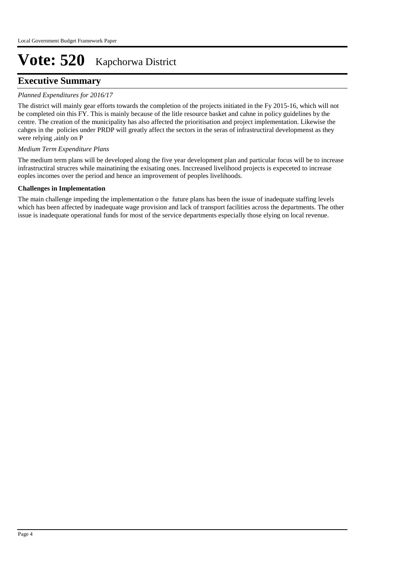# **Executive Summary**

# *Planned Expenditures for 2016/17*

The district will mainly gear efforts towards the completion of the projects initiated in the Fy 2015-16, which will not be completed oin this FY. This is mainly because of the litle resource basket and cahne in policy guidelines by the centre. The creation of the municipality has also affected the prioritisation and project implementation. Likewise the cahges in the policies under PRDP will greatly affect the sectors in the seras of infrastructiral developmenst as they were relying ,ainly on P

# *Medium Term Expenditure Plans*

The medium term plans will be developed along the five year development plan and particular focus will be to increase infrastructiral strucres while mainatining the exisating ones. Inccreased livelihood projects is expeceted to increase eoples incomes over the period and hence an improvement of peoples livelihoods.

# **Challenges in Implementation**

The main challenge impeding the implementation o the future plans has been the issue of inadequate staffing levels which has been affected by inadequate wage provision and lack of transport facilities across the departments. The other issue is inadequate operational funds for most of the service departments especially those elying on local revenue.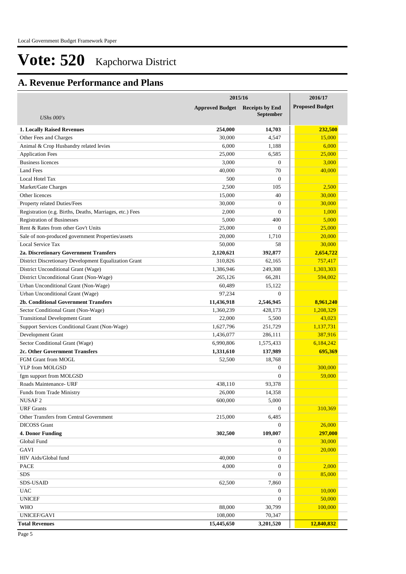# **A. Revenue Performance and Plans**

|                                                          | 2015/16                | 2016/17                |                        |
|----------------------------------------------------------|------------------------|------------------------|------------------------|
|                                                          | <b>Approved Budget</b> | <b>Receipts by End</b> | <b>Proposed Budget</b> |
| <b>UShs 000's</b>                                        |                        | <b>September</b>       |                        |
|                                                          |                        |                        |                        |
| <b>1. Locally Raised Revenues</b>                        | 254,000                | 14,703                 | 232,500                |
| Other Fees and Charges                                   | 30,000                 | 4,547                  | 15,000                 |
| Animal & Crop Husbandry related levies                   | 6,000                  | 1,188                  | 6,000                  |
| <b>Application Fees</b>                                  | 25,000                 | 6,585                  | 25,000                 |
| <b>Business licences</b>                                 | 3,000                  | $\theta$               | 3,000                  |
| <b>Land Fees</b>                                         | 40,000                 | 70                     | 40,000                 |
| Local Hotel Tax                                          | 500                    | $\theta$               |                        |
| Market/Gate Charges                                      | 2,500                  | 105                    | 2,500                  |
| Other licences                                           | 15,000                 | 40                     | 30,000                 |
| Property related Duties/Fees                             | 30,000                 | $\theta$               | 30,000                 |
| Registration (e.g. Births, Deaths, Marriages, etc.) Fees | 2,000                  | $\theta$               | 1,000                  |
| <b>Registration of Businesses</b>                        | 5,000                  | 400                    | 5,000                  |
| Rent & Rates from other Gov't Units                      | 25,000                 | $\mathbf{0}$           | 25,000                 |
| Sale of non-produced government Properties/assets        | 20,000                 | 1,710                  | 20,000                 |
| Local Service Tax                                        | 50,000                 | 58                     | 30,000                 |
| 2a. Discretionary Government Transfers                   | 2,120,621              | 392,877                | 2,654,722              |
| District Discretionary Development Equalization Grant    | 310,826                | 62.165                 | 757,417                |
| District Unconditional Grant (Wage)                      | 1,386,946              | 249,308                | 1,303,303              |
| District Unconditional Grant (Non-Wage)                  | 265.126                | 66,281                 | 594,002                |
| Urban Unconditional Grant (Non-Wage)                     | 60,489                 | 15,122                 |                        |
| Urban Unconditional Grant (Wage)                         | 97,234                 | $\mathbf{0}$           |                        |
| <b>2b. Conditional Government Transfers</b>              | 11,436,918             | 2,546,945              | 8,961,240              |
| Sector Conditional Grant (Non-Wage)                      | 1,360,239              | 428,173                | 1,208,329              |
| <b>Transitional Development Grant</b>                    | 22,000                 | 5,500                  | 43,023                 |
| Support Services Conditional Grant (Non-Wage)            | 1,627,796              | 251,729                | 1,137,731              |
| Development Grant                                        | 1,436,077              | 286,111                | 387,916                |
| Sector Conditional Grant (Wage)                          | 6,990,806              | 1,575,433              | 6,184,242              |
| 2c. Other Government Transfers                           | 1,331,610              | 137,989                | 695,369                |
| FGM Grant from MOGL                                      | 52,500                 | 18.768                 |                        |
| YLP from MOLGSD                                          |                        | $\theta$               | 300,000                |
| fgm support from MOLGSD                                  |                        | $\boldsymbol{0}$       | 59,000                 |
| Roads Maintenance- URF                                   | 438,110                | 93,378                 |                        |
| Funds from Trade Ministry                                | 26,000                 | 14,358                 |                        |
| NUSAF <sub>2</sub>                                       | 600,000                | 5,000                  |                        |
|                                                          |                        |                        |                        |
| <b>URF</b> Grants                                        |                        | $\mathbf{0}$           | 310,369                |
| Other Transfers from Central Government                  | 215,000                | 6,485                  |                        |
| <b>DICOSS</b> Grant                                      |                        | $\boldsymbol{0}$       | 26,000                 |
| <b>4. Donor Funding</b>                                  | 302,500                | 109,007                | 297,000                |
| Global Fund                                              |                        | $\boldsymbol{0}$       | 30,000                 |
| GAVI                                                     |                        | $\boldsymbol{0}$       | 20,000                 |
| HIV Aids/Global fund                                     | 40,000                 | $\mathbf{0}$           |                        |
| PACE                                                     | 4,000                  | $\mathbf{0}$           | 2,000                  |
| SDS                                                      |                        | $\mathbf{0}$           | 85,000                 |
| <b>SDS-USAID</b>                                         | 62,500                 | 7,860                  |                        |
| <b>UAC</b>                                               |                        | $\boldsymbol{0}$       | 10,000                 |
| <b>UNICEF</b>                                            |                        | $\mathbf{0}$           | 50,000                 |
| <b>WHO</b>                                               | 88,000                 | 30,799                 | 100,000                |
| UNICEF/GAVI                                              | 108,000                | 70,347                 |                        |
| <b>Total Revenues</b>                                    | 15,445,650             | 3,201,520              | 12,840,832             |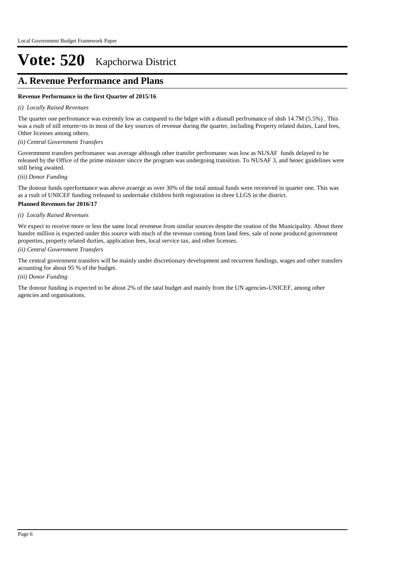# **A. Revenue Performance and Plans**

# **Revenue Performance in the first Quarter of 2015/16**

#### *(i) Locally Raised Revenues*

The quarter one perfromance was extremly low as compared to the bdget with a dismall perfromance of shsh 14.7M (5.5%) . This was a rsult of nill returm=ns in most of the key sources of revenue during the quarter, including Property related duties, Land fees, Other licenses among others.

*(ii) Central Government Transfers*

Govermment transfers perfromanec was average although other transfer perfromanec was low as NUSAF funds delayed to be released by the Office of the prime minister sincce the program was undergoing transition. To NUSAF 3, and henec guidelines were still being awaited.

*(iii) Donor Funding*

The donour funds operformance was above avaerge as over 30% of the total annual funds were receieved in quarter one. This was as a rsult of UNICEF funding rreleased to underrtake children birth registration in three LLGS in the district.

#### **Planned Revenues for 2016/17**

#### *(i) Locally Raised Revenues*

We expect to receive more or less the same local reveneue from similar sources despite the ceation of the Municipality. About three hundre million is expected under this source with much of the revenue coming from land fees, sale of none produced government properties, property related durties, application fees, local service tax, and other licenses.

# *(ii) Central Government Transfers*

The central government transfers will be mainly under discretionary development and recurrent fundings, wages and other transfers acounting for about 95 % of the budget.

#### *(iii) Donor Funding*

The donour funding is expected to be about 2% of the tatal budget and mainly from the UN agencies-UNICEF, among other agencies and organisations.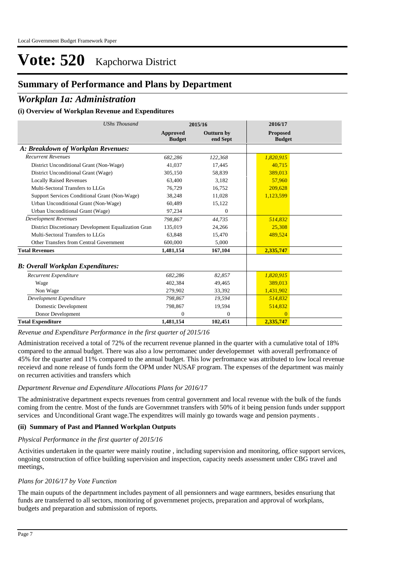# **Summary of Performance and Plans by Department**

# *Workplan 1a: Administration*

# **(i) Overview of Workplan Revenue and Expenditures**

| <b>UShs Thousand</b>                                 |                                  | 2015/16                       | 2016/17                          |
|------------------------------------------------------|----------------------------------|-------------------------------|----------------------------------|
|                                                      | <b>Approved</b><br><b>Budget</b> | <b>Outturn by</b><br>end Sept | <b>Proposed</b><br><b>Budget</b> |
| A: Breakdown of Workplan Revenues:                   |                                  |                               |                                  |
| <b>Recurrent Revenues</b>                            | 682,286                          | 122,368                       | 1,820,915                        |
| District Unconditional Grant (Non-Wage)              | 41.037                           | 17,445                        | 40.715                           |
| District Unconditional Grant (Wage)                  | 305,150                          | 58.839                        | 389.013                          |
| <b>Locally Raised Revenues</b>                       | 63,400                           | 3,182                         | 57,960                           |
| Multi-Sectoral Transfers to LLGs                     | 76,729                           | 16,752                        | 209.628                          |
| Support Services Conditional Grant (Non-Wage)        | 38,248                           | 11,028                        | 1,123,599                        |
| Urban Unconditional Grant (Non-Wage)                 | 60,489                           | 15,122                        |                                  |
| Urban Unconditional Grant (Wage)                     | 97,234                           | $\Omega$                      |                                  |
| <b>Development Revenues</b>                          | 798.867                          | 44,735                        | 514,832                          |
| District Discretionary Development Equalization Gran | 135,019                          | 24,266                        | 25,308                           |
| Multi-Sectoral Transfers to LLGs                     | 63,848                           | 15,470                        | 489,524                          |
| Other Transfers from Central Government              | 600,000                          | 5,000                         |                                  |
| <b>Total Revenues</b>                                | 1,481,154                        | 167,104                       | 2,335,747                        |
| <b>B: Overall Workplan Expenditures:</b>             |                                  |                               |                                  |
| Recurrent Expenditure                                | 682,286                          | 82,857                        | 1,820,915                        |
| Wage                                                 | 402,384                          | 49,465                        | 389,013                          |
| Non Wage                                             | 279.902                          | 33,392                        | 1,431,902                        |
| Development Expenditure                              | 798.867                          | 19,594                        | 514,832                          |
| Domestic Development                                 | 798,867                          | 19,594                        | 514,832                          |
| Donor Development                                    | $\mathbf{0}$                     | $\theta$                      | $\overline{0}$                   |
| <b>Total Expenditure</b>                             | 1,481,154                        | 102,451                       | 2,335,747                        |

#### *Revenue and Expenditure Performance in the first quarter of 2015/16*

Administration received a total of 72% of the recurrent revenue planned in the quarter with a cumulative total of 18% compared to the annual budget. There was also a low perromanec under developemnet with aoverall perfromance of 45% for the quarter and 11% compared to the annual budget. This low perfromance was attributed to low local revenue receievd and none release of funds form the OPM under NUSAF program. The expenses of the department was mainly on recurren activities and transfers which

#### *Department Revenue and Expenditure Allocations Plans for 2016/17*

The administrative department expects revenues from central government and local revenue with the bulk of the funds coming from the centre. Most of the funds are Governmnet transfers with 50% of it being pension funds under suppport services and Unconditional Grant wage.The expenditres will mainly go towards wage and pension payments .

# **(ii) Summary of Past and Planned Workplan Outputs**

#### *Physical Performance in the first quarter of 2015/16*

Activities undertaken in the quarter were mainly routine , including supervision and monitoring, office support services, ongoing construction of office building supervision and inspection, capacity needs assessment under CBG travel and meetings,

### *Plans for 2016/17 by Vote Function*

The main ouputs of the departnment includes payment of all pensionners and wage earmners, besides ensuriung that funds are transferred to all sectors, monitoring of governmenet projects, preparation and approval of workplans, budgets and preparation and submission of reports.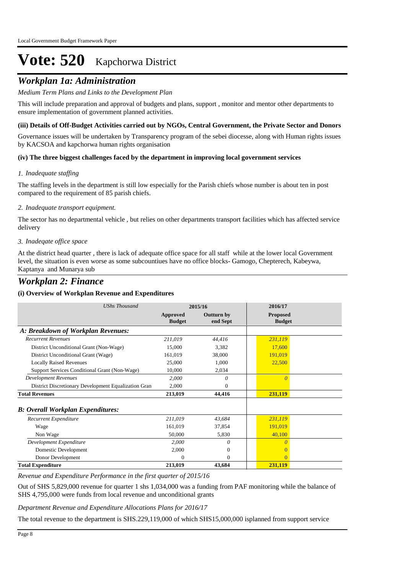# *Workplan 1a: Administration*

# *Medium Term Plans and Links to the Development Plan*

This will include preparation and approval of budgets and plans, support , monitor and mentor other departments to ensure implementation of government planned activities.

#### **(iii) Details of Off-Budget Activities carried out by NGOs, Central Government, the Private Sector and Donors**

Governance issues will be undertaken by Transparency program of the sebei diocesse, along with Human rights issues by KACSOA and kapchorwa human rights organisation

#### **(iv) The three biggest challenges faced by the department in improving local government services**

#### *Inadequate staffing 1.*

The staffing levels in the department is still low especially for the Parish chiefs whose number is about ten in post compared to the requirement of 85 parish chiefs.

#### *Inadequate transport equipment. 2.*

The sector has no departmental vehicle , but relies on other departments transport facilities which has affected service delivery

#### *Inadeqate office space 3.*

At the district head quarter , there is lack of adequate office space for all staff while at the lower local Government level, the situation is even worse as some subcountiues have no office blocks- Gamogo, Chepterech, Kabeywa, Kaptanya and Munarya sub

# *Workplan 2: Finance*

# **(i) Overview of Workplan Revenue and Expenditures**

| <b>UShs Thousand</b>                                 | 2015/16                   |                        | 2016/17                          |  |
|------------------------------------------------------|---------------------------|------------------------|----------------------------------|--|
|                                                      | Approved<br><b>Budget</b> | Outturn by<br>end Sept | <b>Proposed</b><br><b>Budget</b> |  |
| A: Breakdown of Workplan Revenues:                   |                           |                        |                                  |  |
| <b>Recurrent Revenues</b>                            | 211,019                   | 44,416                 | 231,119                          |  |
| District Unconditional Grant (Non-Wage)              | 15,000                    | 3,382                  | 17,600                           |  |
| District Unconditional Grant (Wage)                  | 161,019                   | 38,000                 | 191,019                          |  |
| <b>Locally Raised Revenues</b>                       | 25,000                    | 1,000                  | 22,500                           |  |
| Support Services Conditional Grant (Non-Wage)        | 10,000                    | 2,034                  |                                  |  |
| <b>Development Revenues</b>                          | 2,000                     | 0                      | $\Omega$                         |  |
| District Discretionary Development Equalization Gran | 2,000                     | 0                      |                                  |  |
| <b>Total Revenues</b>                                | 213,019                   | 44,416                 | 231,119                          |  |
| <b>B: Overall Workplan Expenditures:</b>             |                           |                        |                                  |  |
| Recurrent Expenditure                                | 211,019                   | 43,684                 | 231,119                          |  |
| Wage                                                 | 161,019                   | 37,854                 | 191,019                          |  |
| Non Wage                                             | 50,000                    | 5,830                  | 40,100                           |  |
| Development Expenditure                              | 2,000                     | 0                      | $\Omega$                         |  |
| Domestic Development                                 | 2,000                     | $\theta$               |                                  |  |
| Donor Development                                    | $\Omega$                  | $\Omega$               |                                  |  |
| <b>Total Expenditure</b>                             | 213,019                   | 43,684                 | 231,119                          |  |

# *Revenue and Expenditure Performance in the first quarter of 2015/16*

Out of SHS 5,829,000 revenue for quarter 1 shs 1,034,000 was a funding from PAF monitoring while the balance of SHS 4,795,000 were funds from local revenue and unconditional grants

*Department Revenue and Expenditure Allocations Plans for 2016/17*

The total revenue to the department is SHS.229,119,000 of which SHS15,000,000 isplanned from support service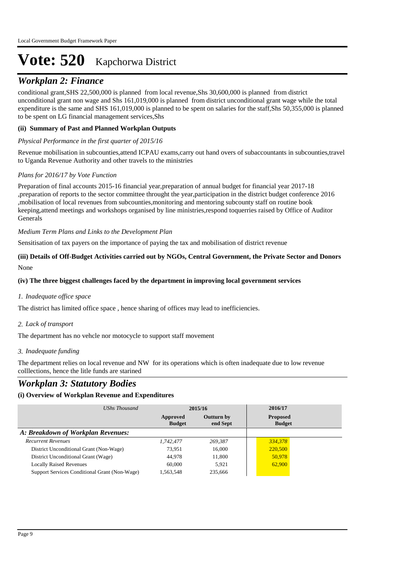# *Workplan 2: Finance*

conditional grant,SHS 22,500,000 is planned from local revenue,Shs 30,600,000 is planned from district unconditional grant non wage and Shs 161,019,000 is planned from district unconditional grant wage while the total expenditure is the same and SHS 161,019,000 is planned to be spent on salaries for the staff,Shs 50,355,000 is planned to be spent on LG financial management services,Shs

# **(ii) Summary of Past and Planned Workplan Outputs**

# *Physical Performance in the first quarter of 2015/16*

Revenue mobilisation in subcounties,attend ICPAU exams,carry out hand overs of subaccountants in subcounties,travel to Uganda Revenue Authority and other travels to the ministries

# *Plans for 2016/17 by Vote Function*

Preparation of final accounts 2015-16 financial year,preparation of annual budget for financial year 2017-18 ,preparation of reports to the sector committee throught the year,participation in the district budget conference 2016 ,mobilisation of local revenues from subcounties,monitoring and mentoring subcounty staff on routine book keeping,attend meetings and workshops organised by line ministries,respond toquerries raised by Office of Auditor Generals

# *Medium Term Plans and Links to the Development Plan*

Sensitisation of tax payers on the importance of paying the tax and mobilisation of district revenue

# None **(iii) Details of Off-Budget Activities carried out by NGOs, Central Government, the Private Sector and Donors**

# **(iv) The three biggest challenges faced by the department in improving local government services**

# *Inadequate office space 1.*

The district has limited office space , hence sharing of offices may lead to inefficiencies.

# *Lack of transport 2.*

The department has no vehcle nor motocycle to support staff movement

# *Inadequate funding 3.*

The department relies on local revenue and NW for its operations which is often inadequate due to low revenue colllections, hence the litle funds are starined

# *Workplan 3: Statutory Bodies*

# **(i) Overview of Workplan Revenue and Expenditures**

| UShs Thousand                                 | 2015/16                   |                               | 2016/17                          |  |
|-----------------------------------------------|---------------------------|-------------------------------|----------------------------------|--|
|                                               | Approved<br><b>Budget</b> | <b>Outturn by</b><br>end Sept | <b>Proposed</b><br><b>Budget</b> |  |
| A: Breakdown of Workplan Revenues:            |                           |                               |                                  |  |
| <b>Recurrent Revenues</b>                     | 1,742,477                 | 269,387                       | 334,378                          |  |
| District Unconditional Grant (Non-Wage)       | 73,951                    | 16,000                        | 220,500                          |  |
| District Unconditional Grant (Wage)           | 44,978                    | 11,800                        | 50,978                           |  |
| <b>Locally Raised Revenues</b>                | 60,000                    | 5.921                         | 62,900                           |  |
| Support Services Conditional Grant (Non-Wage) | 1.563.548                 | 235,666                       |                                  |  |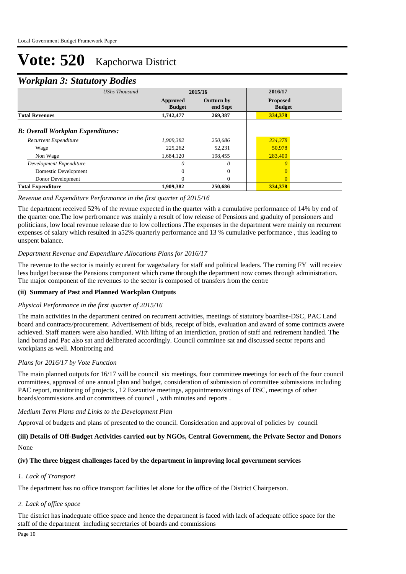# *Workplan 3: Statutory Bodies*

|                                          | ັ                    |                           |                               |                                  |  |
|------------------------------------------|----------------------|---------------------------|-------------------------------|----------------------------------|--|
|                                          | <b>UShs Thousand</b> |                           | 2015/16                       |                                  |  |
|                                          |                      | Approved<br><b>Budget</b> | <b>Outturn by</b><br>end Sept | <b>Proposed</b><br><b>Budget</b> |  |
| <b>Total Revenues</b>                    |                      | 1,742,477                 | 269,387                       | 334,378                          |  |
| <b>B: Overall Workplan Expenditures:</b> |                      |                           |                               |                                  |  |
| Recurrent Expenditure                    |                      | 1,909,382                 | 250.686                       | 334,378                          |  |
| Wage                                     |                      | 225,262                   | 52,231                        | 50,978                           |  |
| Non Wage                                 |                      | 1,684,120                 | 198,455                       | 283,400                          |  |
| Development Expenditure                  |                      | 0                         | $\theta$                      | $\theta$                         |  |
| Domestic Development                     |                      | $\overline{0}$            | $\theta$                      |                                  |  |
| Donor Development                        |                      | $\Omega$                  | $\Omega$                      | $\Omega$                         |  |
| <b>Total Expenditure</b>                 |                      | 1,909,382                 | 250,686                       | 334,378                          |  |

# *Revenue and Expenditure Performance in the first quarter of 2015/16*

The department received 52% of the revnue expected in the quarter with a cumulative performance of 14% by end of the quarter one.The low perfromance was mainly a result of low release of Pensions and graduity of pensioners and politicians, low local revenue release due to low collections .The expenses in the department were mainly on recurrent expenses of salary which resulted in a52% quarterly performance and 13 % cumulative performance , thus leading to unspent balance.

#### *Department Revenue and Expenditure Allocations Plans for 2016/17*

The revenue to the sector is mainly ecurent for wage/salary for staff and political leaders. The coming FY will receiev less budget because the Pensions component which came through the department now comes through administration. The major component of the revenues to the sector is composed of transfers from the centre

# **(ii) Summary of Past and Planned Workplan Outputs**

# *Physical Performance in the first quarter of 2015/16*

The main activities in the department centred on recurrent activities, meetings of statutory boardise-DSC, PAC Land board and contracts/procurement. Advertisement of bids, receipt of bids, evaluation and award of some contracts awere achieved. Staff matters were also handled. With lifting of an interdiction, protion of staff and retirement handled. The land borad and Pac also sat and deliberated accordingly. Council committee sat and discussed sector reports and workplans as well. Moniroring and

# *Plans for 2016/17 by Vote Function*

The main planned outputs for 16/17 will be council six meetings, four committee meetings for each of the four council committees, approval of one annual plan and budget, consideration of submission of committee submissions including PAC report, monitoring of projects , 12 Exexutive meetings, appointments/sittings of DSC, meetings of other boards/commissions and or committees of council , with minutes and reports .

#### *Medium Term Plans and Links to the Development Plan*

Approval of budgets and plans of presented to the council. Consideration and approval of policies by council

# None **(iii) Details of Off-Budget Activities carried out by NGOs, Central Government, the Private Sector and Donors**

# **(iv) The three biggest challenges faced by the department in improving local government services**

# *Lack of Transport 1.*

The department has no office transport facilities let alone for the office of the District Chairperson.

# *Lack of office space 2.*

The district has inadequate office space and hence the department is faced with lack of adequate office space for the staff of the department including secretaries of boards and commissions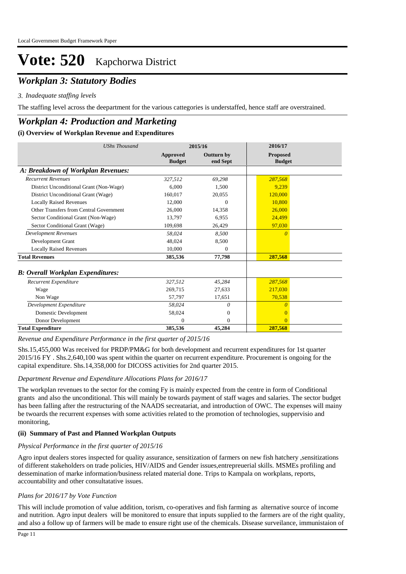# *Workplan 3: Statutory Bodies*

# *Inadequate staffing levels 3.*

The staffing level across the deepartment for the various cattegories is understaffed, hence staff are overstrained.

# *Workplan 4: Production and Marketing*

# **(i) Overview of Workplan Revenue and Expenditures**

| <b>UShs Thousand</b>                     |                                  | 2015/16                       | 2016/17                          |  |
|------------------------------------------|----------------------------------|-------------------------------|----------------------------------|--|
|                                          | <b>Approved</b><br><b>Budget</b> | <b>Outturn by</b><br>end Sept | <b>Proposed</b><br><b>Budget</b> |  |
| A: Breakdown of Workplan Revenues:       |                                  |                               |                                  |  |
| <b>Recurrent Revenues</b>                | 327,512                          | 69,298                        | 287,568                          |  |
| District Unconditional Grant (Non-Wage)  | 6.000                            | 1.500                         | 9.239                            |  |
| District Unconditional Grant (Wage)      | 160,017                          | 20,055                        | 120,000                          |  |
| <b>Locally Raised Revenues</b>           | 12,000                           | $\Omega$                      | 10.800                           |  |
| Other Transfers from Central Government  | 26,000                           | 14,358                        | 26,000                           |  |
| Sector Conditional Grant (Non-Wage)      | 13.797                           | 6.955                         | 24.499                           |  |
| Sector Conditional Grant (Wage)          | 109,698                          | 26,429                        | 97,030                           |  |
| <b>Development Revenues</b>              | 58.024                           | 8.500                         | $\Omega$                         |  |
| Development Grant                        | 48,024                           | 8,500                         |                                  |  |
| <b>Locally Raised Revenues</b>           | 10,000                           | $\theta$                      |                                  |  |
| <b>Total Revenues</b>                    | 385,536                          | 77,798                        | 287,568                          |  |
| <b>B: Overall Workplan Expenditures:</b> |                                  |                               |                                  |  |
| Recurrent Expenditure                    | 327,512                          | 45,284                        | 287,568                          |  |
| Wage                                     | 269,715                          | 27,633                        | 217,030                          |  |
| Non Wage                                 | 57.797                           | 17,651                        | 70,538                           |  |
| Development Expenditure                  | 58,024                           | 0                             | $\Omega$                         |  |
| Domestic Development                     | 58,024                           | $\Omega$                      | $\Omega$                         |  |
| Donor Development                        | $\Omega$                         | $\Omega$                      | $\Omega$                         |  |
| <b>Total Expenditure</b>                 | 385,536                          | 45,284                        | 287,568                          |  |

*Revenue and Expenditure Performance in the first quarter of 2015/16*

Shs.15,455,000 Was received for PRDP/PM&G for both development and recurrent expenditures for 1st quarter 2015/16 FY . Shs.2,640,100 was spent within the quarter on recurrent expenditure. Procurement is ongoing for the capital expenditure. Shs.14,358,000 for DICOSS activities for 2nd quarter 2015.

# *Department Revenue and Expenditure Allocations Plans for 2016/17*

The workplan revenues to the sector for the coming Fy is mainly expected from the centre in form of Conditional grants and also the unconditional. This will mainly be towards payment of staff wages and salaries. The sector budget has been falling after the restructuring of the NAADS secreatariat, and introduction of OWC. The expenses will mainy be twoards the recurrent expenses with some activities related to the promotion of technologies, suppervisio and monitoring,

# **(ii) Summary of Past and Planned Workplan Outputs**

# *Physical Performance in the first quarter of 2015/16*

Agro input dealers stores inspected for quality assurance, sensitization of farmers on new fish hatchery ,sensitizations of different stakeholders on trade policies, HIV/AIDS and Gender issues,entrepreuerial skills. MSMEs profiling and dessemination of marke information/business related material done. Trips to Kampala on workplans, reports, accountability and other consultatative issues.

# *Plans for 2016/17 by Vote Function*

This will include promotion of value addition, torism, co-operatives and fish farming as alternative source of income and nutrition. Agro input dealers will be monitored to ensure that inputs supplied to the farmers are of the right quality, and also a follow up of farmers will be made to ensure right use of the chemicals. Disease surveilance, immunistaion of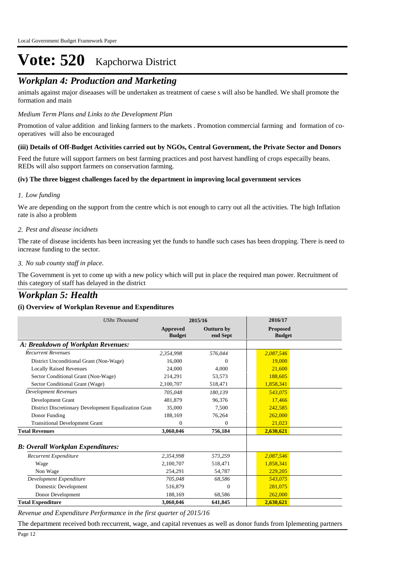# *Workplan 4: Production and Marketing*

animals against major diseaases will be undertaken as treatment of caese s will also be handled. We shall promote the formation and main

### *Medium Term Plans and Links to the Development Plan*

Promotion of value addition and linking farmers to the markets . Promotion commercial farming and formation of cooperatives will also be encouraged

# **(iii) Details of Off-Budget Activities carried out by NGOs, Central Government, the Private Sector and Donors**

Feed the future will support farmers on best farming practices and post harvest handling of crops especailly beans. REDs will also support farmers on conservation farming.

#### **(iv) The three biggest challenges faced by the department in improving local government services**

#### *Low funding 1.*

We are depending on the support from the centre which is not enough to carry out all the activities. The high Inflation rate is also a problem

#### *Pest and disease incidnets 2.*

The rate of disease incidents has been increasing yet the funds to handle such cases has been dropping. There is need to increase funding to the sector.

#### *No sub county staff in place. 3.*

The Government is yet to come up with a new policy which will put in place the required man power. Recruitment of this category of staff has delayed in the district

# *Workplan 5: Health*

# **(i) Overview of Workplan Revenue and Expenditures**

| <b>UShs Thousand</b>                                 | 2015/16                   |                               | 2016/17                   |
|------------------------------------------------------|---------------------------|-------------------------------|---------------------------|
|                                                      | Approved<br><b>Budget</b> | <b>Outturn by</b><br>end Sept | Proposed<br><b>Budget</b> |
| A: Breakdown of Workplan Revenues:                   |                           |                               |                           |
| <b>Recurrent Revenues</b>                            | 2,354,998                 | 576,044                       | 2,087,546                 |
| District Unconditional Grant (Non-Wage)              | 16,000                    | $\Omega$                      | 19,000                    |
| <b>Locally Raised Revenues</b>                       | 24,000                    | 4,000                         | 21,600                    |
| Sector Conditional Grant (Non-Wage)                  | 214,291                   | 53,573                        | 188,605                   |
| Sector Conditional Grant (Wage)                      | 2,100,707                 | 518,471                       | 1,858,341                 |
| <b>Development Revenues</b>                          | 705.048                   | 180.139                       | 543.075                   |
| Development Grant                                    | 481,879                   | 96,376                        | 17,466                    |
| District Discretionary Development Equalization Gran | 35,000                    | 7,500                         | 242,585                   |
| Donor Funding                                        | 188,169                   | 76,264                        | 262,000                   |
| <b>Transitional Development Grant</b>                | $\mathbf{0}$              | $\mathbf{0}$                  | 21,023                    |
| <b>Total Revenues</b>                                | 3,060,046                 | 756,184                       | 2,630,621                 |
| <b>B: Overall Workplan Expenditures:</b>             |                           |                               |                           |
| Recurrent Expenditure                                | 2,354,998                 | 573,259                       | 2,087,546                 |
| Wage                                                 | 2,100,707                 | 518,471                       | 1,858,341                 |
| Non Wage                                             | 254.291                   | 54,787                        | 229,205                   |
| Development Expenditure                              | 705.048                   | 68,586                        | 543,075                   |
| Domestic Development                                 | 516,879                   | $\Omega$                      | 281,075                   |
| Donor Development                                    | 188,169                   | 68,586                        | 262,000                   |
| <b>Total Expenditure</b>                             | 3,060,046                 | 641,845                       | 2,630,621                 |

*Revenue and Expenditure Performance in the first quarter of 2015/16*

The department received both reccurrent, wage, and capital revenues as well as donor funds from Iplementing partners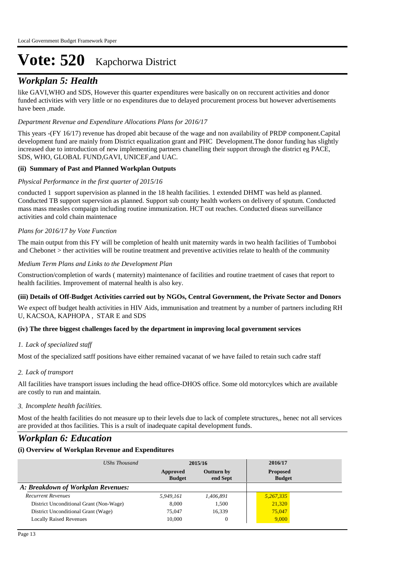# *Workplan 5: Health*

like GAVI,WHO and SDS, However this quarter expenditures were basically on on reccurent activities and donor funded activities with very little or no expenditures due to delayed procurement process but however advertisements have been ,made.

# *Department Revenue and Expenditure Allocations Plans for 2016/17*

This years -(FY 16/17) revenue has droped abit because of the wage and non availability of PRDP component.Capital development fund are mainly from District equalization grant and PHC Development.The donor funding has slightly increased due to introduction of new implementing partners chanelling their support through the district eg PACE, SDS, WHO, GLOBAL FUND,GAVI, UNICEF,and UAC.

# **(ii) Summary of Past and Planned Workplan Outputs**

# *Physical Performance in the first quarter of 2015/16*

conducted 1 support supervision as planned in the 18 health facilities. 1 extended DHMT was held as planned. Conducted TB support supervsion as planned. Support sub county health workers on delivery of sputum. Conducted mass mass measles compaign including routine immunization. HCT out reaches. Conducted diseas surveillance activities and cold chain maintenace

# *Plans for 2016/17 by Vote Function*

The main output from this FY will be completion of health unit maternity wards in two health facilities of Tumboboi and Chebonet > ther activities will be routine treatment and preventive activities relate to health of the community

# *Medium Term Plans and Links to the Development Plan*

Construction/completion of wards ( maternity) maintenance of facilities and routine traetment of cases that report to health facilities. Improvement of maternal health is also key.

# **(iii) Details of Off-Budget Activities carried out by NGOs, Central Government, the Private Sector and Donors**

We expect off budget health activities in HIV Aids, immunisation and treatment by a number of partners including RH U, KACSOA, KAPHOPA , STAR E and SDS

# **(iv) The three biggest challenges faced by the department in improving local government services**

# *Lack of specialized staff 1.*

Most of the specialized satff positions have either remained vacanat of we have failed to retain such cadre staff

# *Lack of transport 2.*

All facilities have transport issues including the head office-DHOS office. Some old motorcylces which are available are costly to run and maintain.

# *Incomplete health facilities. 3.*

Most of the health facilities do not measure up to their levels due to lack of complete structures,, henec not all services are provided at thos facilities. This is a rsult of inadequate capital development funds.

# *Workplan 6: Education*

# **(i) Overview of Workplan Revenue and Expenditures**

| UShs Thousand                           |                           | 2015/16                       | 2016/17                          |  |
|-----------------------------------------|---------------------------|-------------------------------|----------------------------------|--|
|                                         | Approved<br><b>Budget</b> | <b>Outturn by</b><br>end Sept | <b>Proposed</b><br><b>Budget</b> |  |
| A: Breakdown of Workplan Revenues:      |                           |                               |                                  |  |
| <b>Recurrent Revenues</b>               | 5.949.161                 | 1,406,891                     | 5,267,335                        |  |
| District Unconditional Grant (Non-Wage) | 8.000                     | 1.500                         | 21,320                           |  |
| District Unconditional Grant (Wage)     | 75,047                    | 16,339                        | 75,047                           |  |
| <b>Locally Raised Revenues</b>          | 10,000                    | $\mathbf{0}$                  | 9,000                            |  |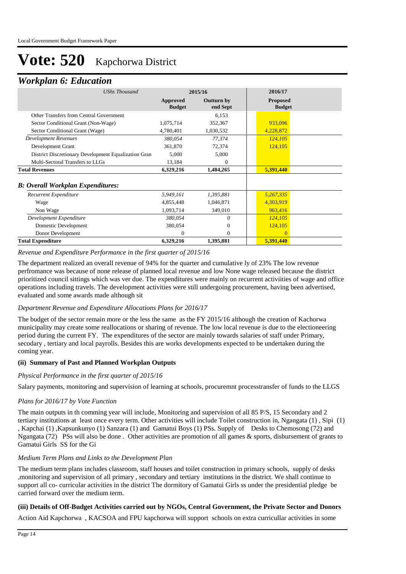# *Workplan 6: Education*

| 2015/16                   |                               | 2016/17                          |
|---------------------------|-------------------------------|----------------------------------|
| Approved<br><b>Budget</b> | <b>Outturn by</b><br>end Sept | <b>Proposed</b><br><b>Budget</b> |
|                           | 6,153                         |                                  |
| 1,075,714                 | 352,367                       | 933,096                          |
| 4,780,401                 | 1,030,532                     | 4,228,872                        |
| 380,054                   | 77,374                        | 124,105                          |
| 361,870                   | 72,374                        | 124,105                          |
| 5,000                     | 5,000                         |                                  |
| 13,184                    | $\Omega$                      |                                  |
| 6,329,216                 | 1,484,265                     | 5,391,440                        |
|                           |                               |                                  |
| 5,949,161                 | 1,395,881                     | 5,267,335                        |
| 4,855,448                 | 1,046,871                     | 4,303,919                        |
| 1,093,714                 | 349,010                       | 963,416                          |
| 380,054                   | 0                             | 124,105                          |
| 380,054                   | $\theta$                      | 124,105                          |
| $\Omega$                  | $\Omega$                      | $\Omega$                         |
| 6,329,216                 | 1,395,881                     | 5,391,440                        |
|                           |                               |                                  |

#### *Revenue and Expenditure Performance in the first quarter of 2015/16*

The department realized an overall revenue of 94% for the quarter and cumulative ly of 23% The low revenue perfromance was because of none release of planned local revenue and low None wage released because the district prioritized council sittings which was ver due. The expenditures were mainly on recurrent activiities of wage and office operations including travels. The development activities were still undergoing procurement, having been advertised, evaluated and some awards made although sit

# *Department Revenue and Expenditure Allocations Plans for 2016/17*

The budget of the sector remain more or the less the same as the FY 2015/16 although the creation of Kachorwa municipality may create some reallocations or sharing of revenue. The low local revenue is due to the electioneering period during the current FY. The expenditures of the sector are mainly towards salaries of staff under Primary, secodary , tertiary and local payrolls. Besides this are works developments expected to be undertaken during the coming year.

# **(ii) Summary of Past and Planned Workplan Outputs**

#### *Physical Performance in the first quarter of 2015/16*

Salary payments, monitoring and supervision of learning at schools, procuremnt processtransfer of funds to the LLGS

# *Plans for 2016/17 by Vote Function*

The main outputs in th comming year will include, Monitoring and supervision of all 85 P/S, 15 Secondary and 2 tertiary institutions at least once every term. Other activities will include Toilet construction in, Ngangata (1) , Sipi (1) , Kapchai (1) ,Kapsunkunyo (1) Sanzara (1) and Gamatui Boys (1) PSs. Supply of Desks to Chemosong (72) and Ngangata (72) PSs will also be done . Other activities are promotion of all games & sports, disbursement of grants to Gamatui Girls SS for the Gi

#### *Medium Term Plans and Links to the Development Plan*

The medium term plans includes classroom, staff houses and toilet construction in primary schools, supply of desks ,monitoring and supervision of all primary , secondary and tertiary institutions in the district. We shall continue to support all co- curricular activities in the district The dormitory of Gamatui Girls ss under the presidential pledge be carried forward over the medium term.

#### **(iii) Details of Off-Budget Activities carried out by NGOs, Central Government, the Private Sector and Donors**

Action Aid Kapchorwa , KACSOA and FPU kapchorwa will support schools on extra curricullar activities in some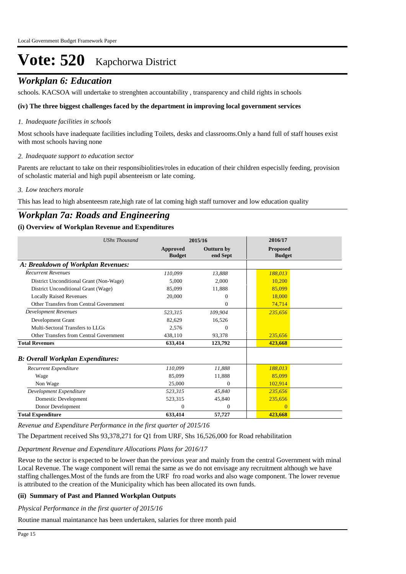# *Workplan 6: Education*

schools. KACSOA will undertake to strenghten accountability , transparency and child rights in schools

# **(iv) The three biggest challenges faced by the department in improving local government services**

# *Inadequate facilities in schools 1.*

Most schools have inadequate facilities including Toilets, desks and classrooms.Only a hand full of staff houses exist with most schools having none

# *Inadequate support to education sector 2.*

Parents are reluctant to take on their responsibiolities/roles in education of their children especislly feeding, provision of scholastic material and high pupil absenteeism or late coming.

#### *Low teachers morale 3.*

This has lead to high absenteesm rate,high rate of lat coming high staff turnover and low education quality

# *Workplan 7a: Roads and Engineering*

# **(i) Overview of Workplan Revenue and Expenditures**

| <b>UShs Thousand</b>                      |                           | 2015/16                | 2016/17                          |
|-------------------------------------------|---------------------------|------------------------|----------------------------------|
|                                           | Approved<br><b>Budget</b> | Outturn by<br>end Sept | <b>Proposed</b><br><b>Budget</b> |
| A: Breakdown of Workplan Revenues:        |                           |                        |                                  |
| <b>Recurrent Revenues</b>                 | 110.099                   | 13,888                 | 188.013                          |
| District Unconditional Grant (Non-Wage)   | 5,000                     | 2.000                  | 10.200                           |
| District Unconditional Grant (Wage)       | 85,099                    | 11,888                 | 85,099                           |
| <b>Locally Raised Revenues</b>            | 20,000                    | $\Omega$               | 18,000                           |
| Other Transfers from Central Government   |                           | $\Omega$               | 74,714                           |
| <b>Development Revenues</b>               | 523,315                   | 109,904                | 235,656                          |
| Development Grant                         | 82,629                    | 16,526                 |                                  |
| Multi-Sectoral Transfers to LLGs          | 2,576                     | $\theta$               |                                  |
| Other Transfers from Central Government   | 438,110                   | 93,378                 | 235,656                          |
| <b>Total Revenues</b>                     | 633,414                   | 123,792                | 423,668                          |
| <b>B</b> : Overall Workplan Expenditures: |                           |                        |                                  |
| Recurrent Expenditure                     | 110,099                   | 11,888                 | 188,013                          |
| Wage                                      | 85.099                    | 11,888                 | 85,099                           |
| Non Wage                                  | 25,000                    | $\Omega$               | 102.914                          |
| Development Expenditure                   | 523,315                   | 45,840                 | 235,656                          |
| Domestic Development                      | 523,315                   | 45,840                 | 235,656                          |
| Donor Development                         | $\Omega$                  | $\theta$               | $\Omega$                         |
| <b>Total Expenditure</b>                  | 633,414                   | 57,727                 | 423,668                          |

*Revenue and Expenditure Performance in the first quarter of 2015/16*

The Department received Shs 93,378,271 for Q1 from URF, Shs 16,526,000 for Road rehabilitation

*Department Revenue and Expenditure Allocations Plans for 2016/17*

Revue to the sector is expected to be lower than the previous year and mainly from the central Government with minal Local Revenue. The wage component will remai the same as we do not envisage any recruitment although we have staffing challenges.Most of the funds are from the URF fro road works and also wage component. The lower revenue is attributed to the creation of the Municipality which has been allocated its own funds.

# **(ii) Summary of Past and Planned Workplan Outputs**

*Physical Performance in the first quarter of 2015/16*

Routine manual maintanance has been undertaken, salaries for three month paid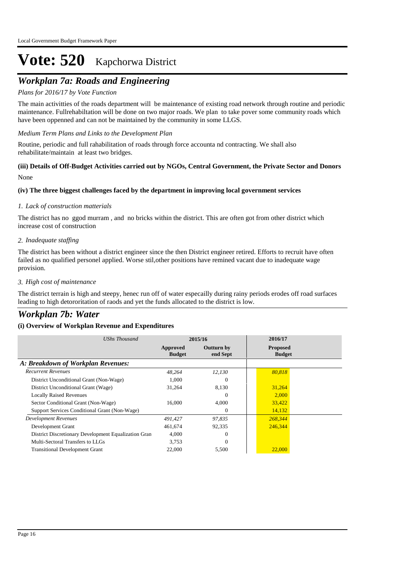# *Workplan 7a: Roads and Engineering*

# *Plans for 2016/17 by Vote Function*

The main activitties of the roads department will be maintenance of existing road network through routine and periodic maintenance. Fullrehabiltation will be done on two major roads. We plan to take pover some community roads which have been oppenned and can not be maintained by the community in some LLGS.

*Medium Term Plans and Links to the Development Plan*

Routine, periodic and full rahabilitation of roads through force accounta nd contracting. We shall also rehabilitate/maintain at least two bridges.

# None **(iii) Details of Off-Budget Activities carried out by NGOs, Central Government, the Private Sector and Donors**

# **(iv) The three biggest challenges faced by the department in improving local government services**

#### *Lack of construction matterials 1.*

The district has no ggod murram , and no bricks within the district. This are often got from other district which increase cost of construction

#### *Inadequate staffing 2.*

The district has been without a district engineer since the then District engineer retired. Efforts to recruit have often failed as no qualified personel applied. Worse stil,other positions have remined vacant due to inadequate wage provision.

#### *High cost of maintenance 3.*

The district terrain is high and steepy, henec run off of water especailly during rainy periods erodes off road surfaces leading to high detororitation of raods and yet the funds allocated to the district is low.

# *Workplan 7b: Water*

# **(i) Overview of Workplan Revenue and Expenditures**

| UShs Thousand                                        | 2015/16                   |                               | 2016/17                          |
|------------------------------------------------------|---------------------------|-------------------------------|----------------------------------|
|                                                      | Approved<br><b>Budget</b> | <b>Outturn by</b><br>end Sept | <b>Proposed</b><br><b>Budget</b> |
| A: Breakdown of Workplan Revenues:                   |                           |                               |                                  |
| <b>Recurrent Revenues</b>                            | 48,264                    | 12,130                        | 80,818                           |
| District Unconditional Grant (Non-Wage)              | 1.000                     | $\Omega$                      |                                  |
| District Unconditional Grant (Wage)                  | 31,264                    | 8,130                         | 31,264                           |
| <b>Locally Raised Revenues</b>                       |                           | $\Omega$                      | 2,000                            |
| Sector Conditional Grant (Non-Wage)                  | 16,000                    | 4,000                         | 33,422                           |
| Support Services Conditional Grant (Non-Wage)        |                           | $\Omega$                      | 14,132                           |
| Development Revenues                                 | 491,427                   | 97,835                        | 268,344                          |
| Development Grant                                    | 461,674                   | 92,335                        | 246,344                          |
| District Discretionary Development Equalization Gran | 4,000                     | 0                             |                                  |
| Multi-Sectoral Transfers to LLGs                     | 3,753                     | $\Omega$                      |                                  |
| <b>Transitional Development Grant</b>                | 22,000                    | 5,500                         | 22,000                           |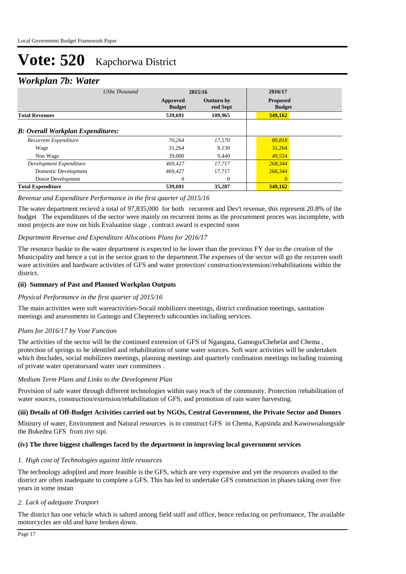# *Workplan 7b: Water*

| ≖<br><b>UShs Thousand</b>                | 2015/16                   |                               | 2016/17                          |  |
|------------------------------------------|---------------------------|-------------------------------|----------------------------------|--|
|                                          | Approved<br><b>Budget</b> | <b>Outturn by</b><br>end Sept | <b>Proposed</b><br><b>Budget</b> |  |
| <b>Total Revenues</b>                    | 539,691                   | 109,965                       | 349,162                          |  |
| <b>B: Overall Workplan Expenditures:</b> |                           |                               |                                  |  |
| Recurrent Expenditure                    | 70.264                    | 17,570                        | 80,818                           |  |
| Wage                                     | 31.264                    | 8,130                         | 31,264                           |  |
| Non Wage                                 | 39,000                    | 9.440                         | 49.554                           |  |
| Development Expenditure                  | 469,427                   | 17.717                        | 268,344                          |  |
| Domestic Development                     | 469,427                   | 17,717                        | 268,344                          |  |
| Donor Development                        | $\Omega$                  | $\Omega$                      | $\overline{0}$                   |  |
| <b>Total Expenditure</b>                 | 539,691                   | 35,287                        | 349,162                          |  |

# *Revenue and Expenditure Performance in the first quarter of 2015/16*

The water department recievd a total of 97,835,000 for both recurrent and Dev't revenue, this represent 20.8% of the budget The expenditures of the sector were mainly on recurrent items as the procurement proces was incomplete, with most projects are now on bids Evaluation stage , contract award is expected soon

# *Department Revenue and Expenditure Allocations Plans for 2016/17*

The resource baskte to the water department is expected to be lower than the previous FY due to the creation of the Municipality and hence a cut in the sector grant to the department.The expenses of the sector will go the recurren sooft ware activitiies and hardware activities of GFS and water protection/ construction/extension//rehabilitations within the district.

# **(ii) Summary of Past and Planned Workplan Outputs**

# *Physical Performance in the first quarter of 2015/16*

The main activities were soft wareactivities-Socail mobilizers meetings, district cordination meetings, sanitation meetings and assessments in Gamogo and Chepterech subcounties including services.

# *Plans for 2016/17 by Vote Function*

The activities of the sector will be the continued extension of GFS of Ngangata, Gamogo/Chebelat and Chema , protection of springs to be identifed and rehabilitation of some water sources. Soft ware activities will be undertaken which ibncludes, social mobilizers meetings, planning meetings and quarterly cordination meetings including trainning of private water operatorsand water user committees .

# *Medium Term Plans and Links to the Development Plan*

Provision of safe water through different technologies within easy reach of the community. Protection /rehabilitation of water sources, construction/extension/rehabilitation of GFS, and promotion of rain water harvesting.

# **(iii) Details of Off-Budget Activities carried out by NGOs, Central Government, the Private Sector and Donors**

Ministry of water, Environment and Natural resources is to construct GFS in Chema, Kapsinda and Kawowoalongside the Bukedea GFS from rivr sipi.

# **(iv) The three biggest challenges faced by the department in improving local government services**

# *High cost of Technologies against little resources 1.*

The technology adop[ted and more feasible is the GFS, which are very expensive and yet the resources availed to the district are often inadequate to complete a GFS. This has led to undertake GFS construction in phases taking over five years in some instan

# *Lack of adequate Trasport 2.*

The district has one vehicle which is sahred among field staff and office, hence reducing on perfromance, The available motorcycles are old and have broken down.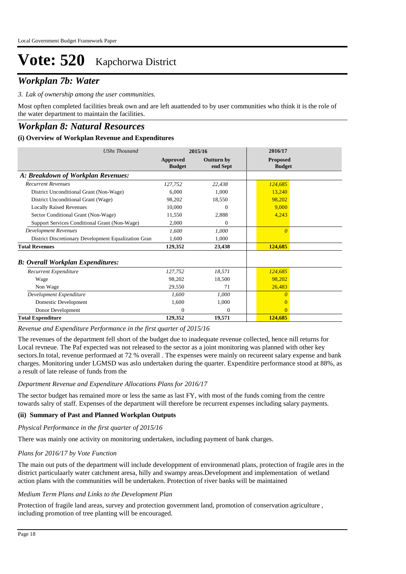# *Workplan 7b: Water*

*Lak of ownership among the user communities. 3.*

Most opften completed facilities break own and are left auattended to by user communities who think it is the role of the water department to maintain the facilities.

# *Workplan 8: Natural Resources*

# **(i) Overview of Workplan Revenue and Expenditures**

| <b>UShs Thousand</b>                                 | 2015/16                   |                               | 2016/17                          |  |
|------------------------------------------------------|---------------------------|-------------------------------|----------------------------------|--|
|                                                      | Approved<br><b>Budget</b> | <b>Outturn by</b><br>end Sept | <b>Proposed</b><br><b>Budget</b> |  |
| A: Breakdown of Workplan Revenues:                   |                           |                               |                                  |  |
| <b>Recurrent Revenues</b>                            | 127,752                   | 22,438                        | 124,685                          |  |
| District Unconditional Grant (Non-Wage)              | 6,000                     | 1,000                         | 13,240                           |  |
| District Unconditional Grant (Wage)                  | 98,202                    | 18,550                        | 98,202                           |  |
| <b>Locally Raised Revenues</b>                       | 10,000                    | $\Omega$                      | 9,000                            |  |
| Sector Conditional Grant (Non-Wage)                  | 11,550                    | 2,888                         | 4,243                            |  |
| Support Services Conditional Grant (Non-Wage)        | 2,000                     | 0                             |                                  |  |
| <b>Development Revenues</b>                          | 1.600                     | 1,000                         | $\theta$                         |  |
| District Discretionary Development Equalization Gran | 1,600                     | 1,000                         |                                  |  |
| <b>Total Revenues</b>                                | 129,352                   | 23,438                        | 124,685                          |  |
| <b>B: Overall Workplan Expenditures:</b>             |                           |                               |                                  |  |
| Recurrent Expenditure                                | 127,752                   | 18,571                        | 124,685                          |  |
| Wage                                                 | 98,202                    | 18,500                        | 98,202                           |  |
| Non Wage                                             | 29,550                    | 71                            | 26,483                           |  |
| Development Expenditure                              | 1,600                     | 1,000                         |                                  |  |
| Domestic Development                                 | 1,600                     | 1,000                         | $\Omega$                         |  |
| Donor Development                                    | $\theta$                  | $\Omega$                      | $\Omega$                         |  |
| <b>Total Expenditure</b>                             | 129,352                   | 19,571                        | 124,685                          |  |

*Revenue and Expenditure Performance in the first quarter of 2015/16*

The revenues of the department fell short of the budget due to inadequate revenue collected, hence nill returns for Local revneue. The Paf expected was not released to the sector as a joint monitoring was planned with other key sectors.In total, revenue performaed at 72 % overall . The expenses were mainly on recureent salary expense and bank charges. Monitoring under LGMSD was aslo undertaken during the quarter. Expenditire performance stood at 88%, as a result of late release of funds from the

#### *Department Revenue and Expenditure Allocations Plans for 2016/17*

The sector budget has remained more or less the same as last FY, with most of the funds coming from the centre towards salry of staff. Expenses of the department will therefore be recurrent expenses including salary payments.

#### **(ii) Summary of Past and Planned Workplan Outputs**

#### *Physical Performance in the first quarter of 2015/16*

There was mainly one activity on monitoring undertaken, including payment of bank charges.

#### *Plans for 2016/17 by Vote Function*

The main out puts of the department will include developpment of environmenatl plans, protection of fragile ares in the district particulaarly water catchment aresa, hilly and swampy areas.Development and implementation of wetland action plans with the communities will be undertaken. Protection of river banks will be maintained

**(iii) Details of Off-Budget Activities carried out by NGOs, Central Government, the Private Sector and Donors** 

#### *Medium Term Plans and Links to the Development Plan*

Protection of fragile land areas, survey and protection government land, promotion of conservation agriculture , including promotion of tree planting will be encouraged.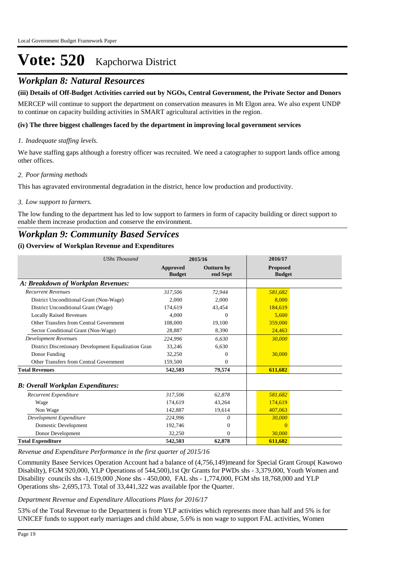# *Workplan 8: Natural Resources*

# **(iii) Details of Off-Budget Activities carried out by NGOs, Central Government, the Private Sector and Donors**

MERCEP will continue to support the department on conservation measures in Mt Elgon area. We also expent UNDP to continue on capacity building activities in SMART agricultural activities in the region.

#### **(iv) The three biggest challenges faced by the department in improving local government services**

# *Inadequate staffing levels. 1.*

We have staffing gaps although a forestry officer was recruited. We need a catographer to support lands office among other offices.

### *Poor farming methods 2.*

This has agravated environmental degradation in the district, hence low production and productivity.

#### *Low support to farmers. 3.*

The low funding to the department has led to low support to farmers in form of capacity building or direct support to enable them increase production and conserve the environment.

# *Workplan 9: Community Based Services*

#### **(i) Overview of Workplan Revenue and Expenditures**

| <b>UShs Thousand</b>                                 | 2015/16                   |                               | 2016/17                          |  |
|------------------------------------------------------|---------------------------|-------------------------------|----------------------------------|--|
|                                                      | Approved<br><b>Budget</b> | <b>Outturn by</b><br>end Sept | <b>Proposed</b><br><b>Budget</b> |  |
| A: Breakdown of Workplan Revenues:                   |                           |                               |                                  |  |
| <b>Recurrent Revenues</b>                            | 317,506                   | 72,944                        | 581,682                          |  |
| District Unconditional Grant (Non-Wage)              | 2,000                     | 2,000                         | 8.000                            |  |
| District Unconditional Grant (Wage)                  | 174,619                   | 43,454                        | 184,619                          |  |
| <b>Locally Raised Revenues</b>                       | 4.000                     | $\Omega$                      | 5.600                            |  |
| Other Transfers from Central Government              | 108,000                   | 19,100                        | 359,000                          |  |
| Sector Conditional Grant (Non-Wage)                  | 28,887                    | 8,390                         | 24,463                           |  |
| <b>Development Revenues</b>                          | 224,996                   | 6,630                         | 30,000                           |  |
| District Discretionary Development Equalization Gran | 33,246                    | 6,630                         |                                  |  |
| Donor Funding                                        | 32,250                    | $\Omega$                      | 30,000                           |  |
| Other Transfers from Central Government              | 159,500                   | $\theta$                      |                                  |  |
| <b>Total Revenues</b>                                | 542,503                   | 79,574                        | 611,682                          |  |
| <b>B</b> : Overall Workplan Expenditures:            |                           |                               |                                  |  |
| Recurrent Expenditure                                | 317.506                   | 62,878                        | 581.682                          |  |
| Wage                                                 | 174,619                   | 43,264                        | 174,619                          |  |
| Non Wage                                             | 142,887                   | 19,614                        | 407,063                          |  |
| Development Expenditure                              | 224,996                   | 0                             | 30,000                           |  |
| Domestic Development                                 | 192,746                   | $\mathbf{0}$                  | $\Omega$                         |  |
| Donor Development                                    | 32,250                    | $\mathbf{0}$                  | 30,000                           |  |
| <b>Total Expenditure</b>                             | 542,503                   | 62,878                        | 611,682                          |  |

#### *Revenue and Expenditure Performance in the first quarter of 2015/16*

Community Basee Services Operation Account had a balance of (4,756,149)meand for Special Grant Group( Kawowo Disabilty), FGM 920,000, YLP Operations of 544,500),1st Qtr Grants for PWDs shs - 3,379,000, Youth Women and Disability councils shs -1,619,000 ,None shs - 450,000, FAL shs - 1,774,000, FGM shs 18,768,000 and YLP Operations shs- 2,695,173. Total of 33,441,322 was available fpor the Quarter.

#### *Department Revenue and Expenditure Allocations Plans for 2016/17*

53% of the Total Revenue to the Department is from YLP activities which represents more than half and 5% is for UNICEF funds to support early marriages and child abuse, 5.6% is non wage to support FAL activities, Women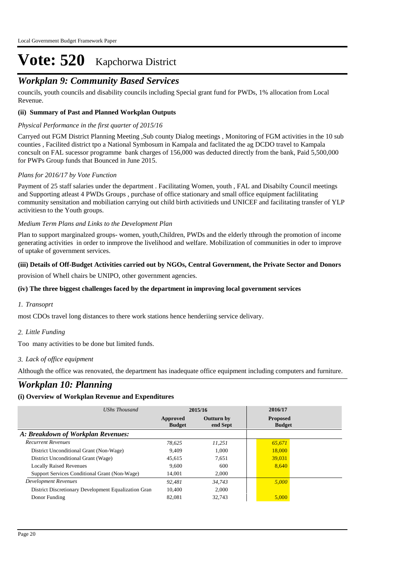# *Workplan 9: Community Based Services*

councils, youth councils and disability councils including Special grant fund for PWDs, 1% allocation from Local Revenue.

# **(ii) Summary of Past and Planned Workplan Outputs**

### *Physical Performance in the first quarter of 2015/16*

Carryed out FGM District Planning Meeting ,Sub county Dialog meetings , Monitoring of FGM activities in the 10 sub counties , Facilited district tpo a National Symbosum in Kampala and faclitated the ag DCDO travel to Kampala concsult on FAL sucessor programme bank charges of 156,000 was deducted directly from the bank, Paid 5,500,000 for PWPs Group funds that Bounced in June 2015.

# *Plans for 2016/17 by Vote Function*

Payment of 25 staff salaries under the department . Facilitating Women, youth , FAL and Disabilty Council meetings and Supporting atleast 4 PWDs Groups , purchase of office stationary and small office equipment faclilitating community sensitation and mobiliation carrying out child birth activitieds und UNICEF and facilitating transfer of YLP activitiesn to the Youth groups.

#### *Medium Term Plans and Links to the Development Plan*

Plan to support marginalzed groups- women, youth,Children, PWDs and the elderly tthrough the promotion of income generating activities in order to inmprove the livelihood and welfare. Mobilization of communities in oder to improve of uptake of government services.

# **(iii) Details of Off-Budget Activities carried out by NGOs, Central Government, the Private Sector and Donors**

provision of Whell chairs be UNIPO, other government agencies.

### **(iv) The three biggest challenges faced by the department in improving local government services**

# *Transoprt 1.*

most CDOs travel long distances to there work stations hence henderiing service delivary.

# *Little Funding 2.*

Too many activities to be done but limited funds.

# *Lack of office equipment 3.*

Although the office was renovated, the department has inadequate office equipment including computers and furniture.

# *Workplan 10: Planning*

#### **(i) Overview of Workplan Revenue and Expenditures**

| UShs Thousand                                        | 2015/16                   |                               | 2016/17                          |
|------------------------------------------------------|---------------------------|-------------------------------|----------------------------------|
|                                                      | Approved<br><b>Budget</b> | <b>Outturn by</b><br>end Sept | <b>Proposed</b><br><b>Budget</b> |
| A: Breakdown of Workplan Revenues:                   |                           |                               |                                  |
| <b>Recurrent Revenues</b>                            | 78.625                    | 11.251                        | 65,671                           |
| District Unconditional Grant (Non-Wage)              | 9.409                     | 1.000                         | 18,000                           |
| District Unconditional Grant (Wage)                  | 45,615                    | 7,651                         | 39,031                           |
| <b>Locally Raised Revenues</b>                       | 9.600                     | 600                           | 8.640                            |
| Support Services Conditional Grant (Non-Wage)        | 14.001                    | 2.000                         |                                  |
| Development Revenues                                 | 92.481                    | 34.743                        | 5,000                            |
| District Discretionary Development Equalization Gran | 10.400                    | 2.000                         |                                  |
| Donor Funding                                        | 82,081                    | 32,743                        | 5,000                            |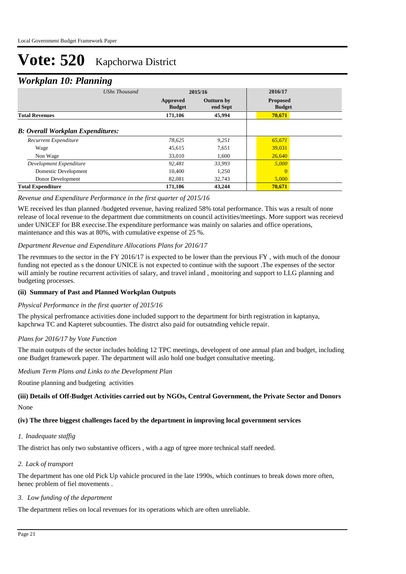# *Workplan 10: Planning*

| ┻                                        | o                    |                           |                               |                                  |  |
|------------------------------------------|----------------------|---------------------------|-------------------------------|----------------------------------|--|
|                                          | <b>UShs Thousand</b> | 2015/16                   |                               | 2016/17                          |  |
|                                          |                      | Approved<br><b>Budget</b> | <b>Outturn by</b><br>end Sept | <b>Proposed</b><br><b>Budget</b> |  |
| <b>Total Revenues</b>                    |                      | 171,106                   | 45,994                        | 70,671                           |  |
| <b>B:</b> Overall Workplan Expenditures: |                      |                           |                               |                                  |  |
| Recurrent Expenditure                    |                      | 78,625                    | 9,251                         | 65,671                           |  |
| Wage                                     |                      | 45,615                    | 7,651                         | 39,031                           |  |
| Non Wage                                 |                      | 33,010                    | 1,600                         | 26,640                           |  |
| Development Expenditure                  |                      | 92.481                    | 33,993                        | 5,000                            |  |
| Domestic Development                     |                      | 10,400                    | 1,250                         | $\Omega$                         |  |
| Donor Development                        |                      | 82.081                    | 32,743                        | 5,000                            |  |
| <b>Total Expenditure</b>                 |                      | 171,106                   | 43,244                        | 70,671                           |  |

# *Revenue and Expenditure Performance in the first quarter of 2015/16*

WE received les than planned /budgeted revenue, having realized 58% total performance. This was a result of none release of local revenue to the department due commitments on council activities/meetings. More support was receievd under UNICEF for BR execcise.The expenditure performance was mainly on salaries and office operations, maintenance and this was at 80%, with cumulative expense of 25 %.

# *Department Revenue and Expenditure Allocations Plans for 2016/17*

The revmnues to the sector in the FY 2016/17 is expected to be lower than the previous FY , with much of the donour funding not epected as s the donour UNICE is not expected to continue with the supoort .The expenses of the sector will aminly be routine recurrent activities of salary, and travel inland , monitoring and support to LLG planning and budgeting processes.

# **(ii) Summary of Past and Planned Workplan Outputs**

# *Physical Performance in the first quarter of 2015/16*

The physical perfromance activities done included support to the department for birth registration in kaptanya, kapchrwa TC and Kapteret subcounties. The distrct also paid for outsatnding vehicle repair.

# *Plans for 2016/17 by Vote Function*

The main outputs of the sector includes holding 12 TPC meetings, developent of one annual plan and budget, including one Budget framework paper. The department will aslo hold one budget consultative meeting.

# *Medium Term Plans and Links to the Development Plan*

Routine planning and budgeting activities

# None **(iii) Details of Off-Budget Activities carried out by NGOs, Central Government, the Private Sector and Donors**

# **(iv) The three biggest challenges faced by the department in improving local government services**

#### *Inadequate staffig 1.*

The district has only two substantive officers , with a agp of tgree more technical staff needed.

# *Lack of transport 2.*

The department has one old Pick Up vahicle procured in the late 1990s, which continues to break down more often, henec problem of fiel movements .

# *Low funding of the department 3.*

The department relies on local revenues for its operations which are often unreliable.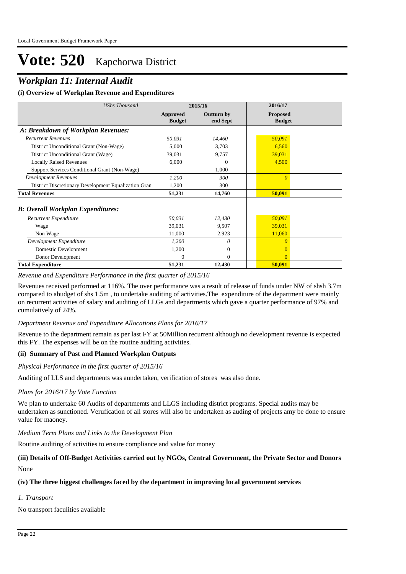# *Workplan 11: Internal Audit*

# **(i) Overview of Workplan Revenue and Expenditures**

| <b>UShs Thousand</b>                                 | 2015/16                   |                        | 2016/17                          |  |
|------------------------------------------------------|---------------------------|------------------------|----------------------------------|--|
|                                                      | Approved<br><b>Budget</b> | Outturn by<br>end Sept | <b>Proposed</b><br><b>Budget</b> |  |
| A: Breakdown of Workplan Revenues:                   |                           |                        |                                  |  |
| <b>Recurrent Revenues</b>                            | 50,031                    | 14,460                 | 50,091                           |  |
| District Unconditional Grant (Non-Wage)              | 5,000                     | 3,703                  | 6,560                            |  |
| District Unconditional Grant (Wage)                  | 39,031                    | 9,757                  | 39,031                           |  |
| <b>Locally Raised Revenues</b>                       | 6,000                     | $\theta$               | 4,500                            |  |
| Support Services Conditional Grant (Non-Wage)        |                           | 1,000                  |                                  |  |
| <b>Development Revenues</b>                          | 1,200                     | 300                    | $\theta$                         |  |
| District Discretionary Development Equalization Gran | 1,200                     | 300                    |                                  |  |
| <b>Total Revenues</b>                                | 51,231                    | 14,760                 | 50,091                           |  |
| <b>B</b> : Overall Workplan Expenditures:            |                           |                        |                                  |  |
| Recurrent Expenditure                                | 50,031                    | 12,430                 | 50,091                           |  |
| Wage                                                 | 39,031                    | 9,507                  | 39,031                           |  |
| Non Wage                                             | 11,000                    | 2,923                  | 11,060                           |  |
| Development Expenditure                              | 1,200                     | $\theta$               | $\theta$                         |  |
| Domestic Development                                 | 1,200                     | $\overline{0}$         |                                  |  |
| Donor Development                                    | $\Omega$                  | $\Omega$               | $\Omega$                         |  |
| <b>Total Expenditure</b>                             | 51,231                    | 12,430                 | 50,091                           |  |

*Revenue and Expenditure Performance in the first quarter of 2015/16*

Revenues received performed at 116%. The over performance was a result of release of funds under NW of shsh 3.7m compared to abudget of shs 1.5m , to undertake auditing of activities.The expenditure of the department were mainly on recurrent activities of salary and auditing of LLGs and departments which gave a quarter performance of 97% and cumulatively of 24%.

# *Department Revenue and Expenditure Allocations Plans for 2016/17*

Revenue to the department remain as per last FY at 50Million recurrent although no development revenue is expected this FY. The expenses will be on the routine auditing activities.

# **(ii) Summary of Past and Planned Workplan Outputs**

*Physical Performance in the first quarter of 2015/16*

Auditing of LLS and departments was aundertaken, verification of stores was also done.

#### *Plans for 2016/17 by Vote Function*

We plan to undertake 60 Audits of departmemts and LLGS including district programs. Special audits may be undertaken as sunctioned. Verufication of all stores will also be undertaken as auding of projects amy be done to ensure value for maoney.

*Medium Term Plans and Links to the Development Plan*

Routine auditing of activities to ensure compliance and value for money

# None **(iii) Details of Off-Budget Activities carried out by NGOs, Central Government, the Private Sector and Donors**

# **(iv) The three biggest challenges faced by the department in improving local government services**

# *Transport 1.*

No transport faculities available